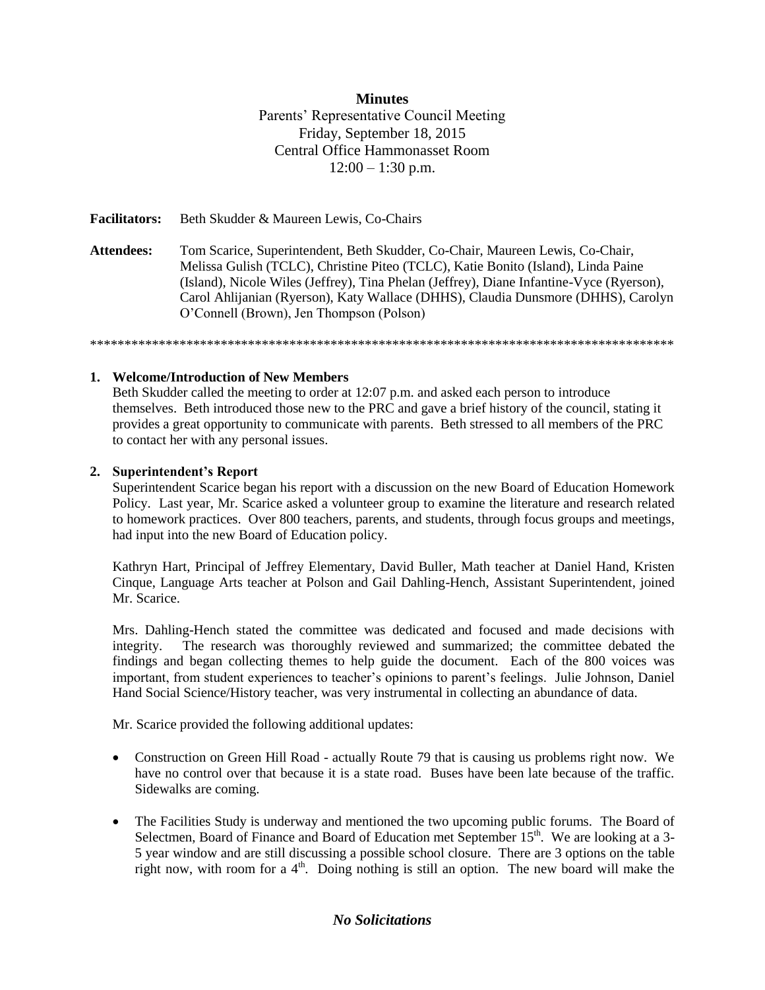#### **Minutes**

Parents' Representative Council Meeting Friday, September 18, 2015 Central Office Hammonasset Room  $12:00 - 1:30$  p.m.

**Facilitators:** Beth Skudder & Maureen Lewis, Co-Chairs

**Attendees:** Tom Scarice, Superintendent, Beth Skudder, Co-Chair, Maureen Lewis, Co-Chair, Melissa Gulish (TCLC), Christine Piteo (TCLC), Katie Bonito (Island), Linda Paine (Island), Nicole Wiles (Jeffrey), Tina Phelan (Jeffrey), Diane Infantine-Vyce (Ryerson), Carol Ahlijanian (Ryerson), Katy Wallace (DHHS), Claudia Dunsmore (DHHS), Carolyn O'Connell (Brown), Jen Thompson (Polson)

\*\*\*\*\*\*\*\*\*\*\*\*\*\*\*\*\*\*\*\*\*\*\*\*\*\*\*\*\*\*\*\*\*\*\*\*\*\*\*\*\*\*\*\*\*\*\*\*\*\*\*\*\*\*\*\*\*\*\*\*\*\*\*\*\*\*\*\*\*\*\*\*\*\*\*\*\*\*\*\*\*\*\*\*\*

**1. Welcome/Introduction of New Members**

Beth Skudder called the meeting to order at 12:07 p.m. and asked each person to introduce themselves. Beth introduced those new to the PRC and gave a brief history of the council, stating it provides a great opportunity to communicate with parents. Beth stressed to all members of the PRC to contact her with any personal issues.

#### **2. Superintendent's Report**

Superintendent Scarice began his report with a discussion on the new Board of Education Homework Policy. Last year, Mr. Scarice asked a volunteer group to examine the literature and research related to homework practices. Over 800 teachers, parents, and students, through focus groups and meetings, had input into the new Board of Education policy.

Kathryn Hart, Principal of Jeffrey Elementary, David Buller, Math teacher at Daniel Hand, Kristen Cinque, Language Arts teacher at Polson and Gail Dahling-Hench, Assistant Superintendent, joined Mr. Scarice.

Mrs. Dahling-Hench stated the committee was dedicated and focused and made decisions with integrity. The research was thoroughly reviewed and summarized; the committee debated the findings and began collecting themes to help guide the document. Each of the 800 voices was important, from student experiences to teacher's opinions to parent's feelings. Julie Johnson, Daniel Hand Social Science/History teacher, was very instrumental in collecting an abundance of data.

Mr. Scarice provided the following additional updates:

- Construction on Green Hill Road actually Route 79 that is causing us problems right now. We have no control over that because it is a state road. Buses have been late because of the traffic. Sidewalks are coming.
- The Facilities Study is underway and mentioned the two upcoming public forums. The Board of Selectmen, Board of Finance and Board of Education met September  $15<sup>th</sup>$ . We are looking at a 3-5 year window and are still discussing a possible school closure. There are 3 options on the table right now, with room for a  $4<sup>th</sup>$ . Doing nothing is still an option. The new board will make the

#### *No Solicitations*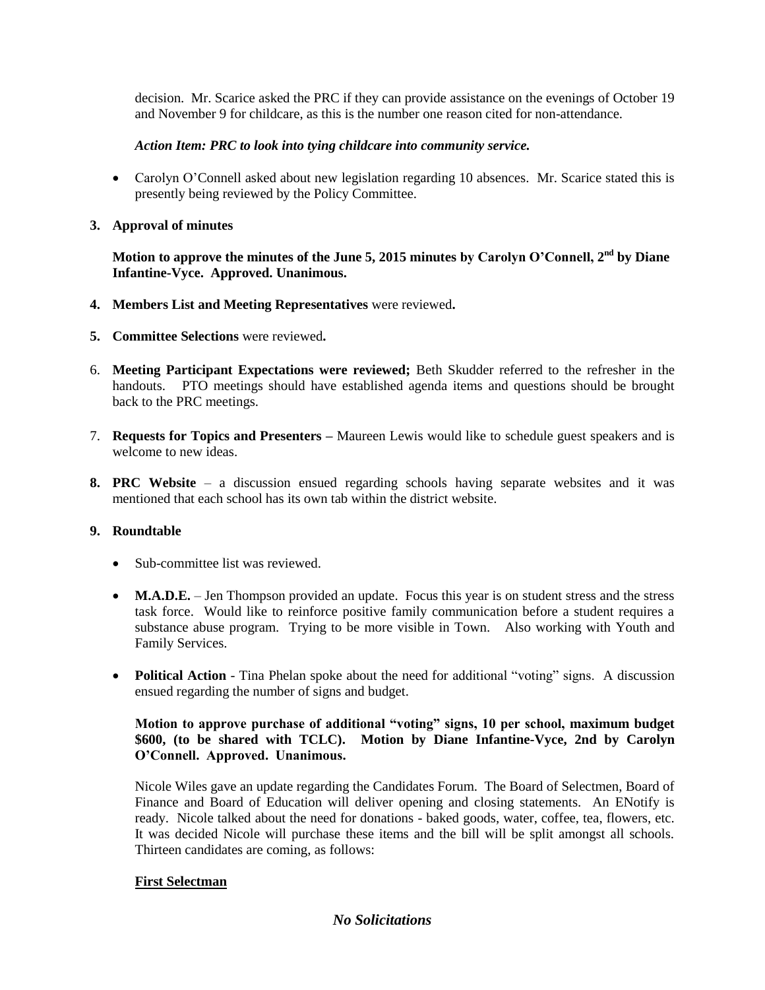decision. Mr. Scarice asked the PRC if they can provide assistance on the evenings of October 19 and November 9 for childcare, as this is the number one reason cited for non-attendance.

## *Action Item: PRC to look into tying childcare into community service.*

- Carolyn O'Connell asked about new legislation regarding 10 absences. Mr. Scarice stated this is presently being reviewed by the Policy Committee.
- **3. Approval of minutes**

Motion to approve the minutes of the June 5, 2015 minutes by Carolyn O'Connell, 2<sup>nd</sup> by Diane **Infantine-Vyce. Approved. Unanimous.**

- **4. Members List and Meeting Representatives** were reviewed**.**
- **5. Committee Selections** were reviewed**.**
- 6. **Meeting Participant Expectations were reviewed;** Beth Skudder referred to the refresher in the handouts. PTO meetings should have established agenda items and questions should be brought back to the PRC meetings.
- 7. **Requests for Topics and Presenters –** Maureen Lewis would like to schedule guest speakers and is welcome to new ideas.
- **8. PRC Website** a discussion ensued regarding schools having separate websites and it was mentioned that each school has its own tab within the district website.

## **9. Roundtable**

- Sub-committee list was reviewed.
- **M.A.D.E.** Jen Thompson provided an update. Focus this year is on student stress and the stress task force. Would like to reinforce positive family communication before a student requires a substance abuse program. Trying to be more visible in Town. Also working with Youth and Family Services.
- **Political Action** Tina Phelan spoke about the need for additional "voting" signs. A discussion ensued regarding the number of signs and budget.

### **Motion to approve purchase of additional "voting" signs, 10 per school, maximum budget \$600, (to be shared with TCLC). Motion by Diane Infantine-Vyce, 2nd by Carolyn O'Connell. Approved. Unanimous.**

Nicole Wiles gave an update regarding the Candidates Forum. The Board of Selectmen, Board of Finance and Board of Education will deliver opening and closing statements. An ENotify is ready. Nicole talked about the need for donations - baked goods, water, coffee, tea, flowers, etc. It was decided Nicole will purchase these items and the bill will be split amongst all schools. Thirteen candidates are coming, as follows:

## **First Selectman**

## *No Solicitations*